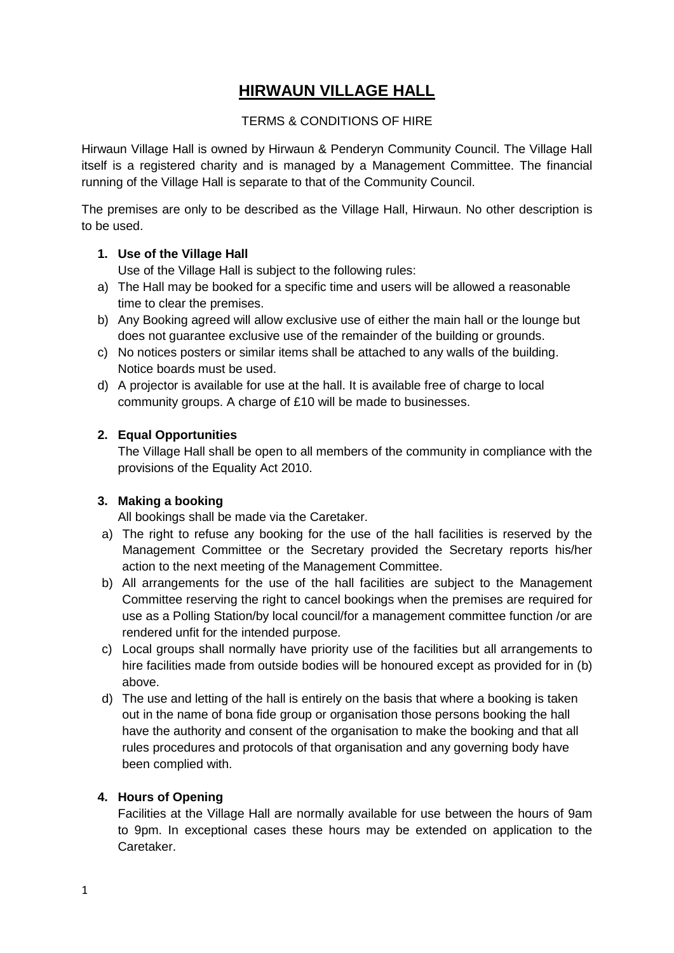# **HIRWAUN VILLAGE HALL**

## TERMS & CONDITIONS OF HIRE

Hirwaun Village Hall is owned by Hirwaun & Penderyn Community Council. The Village Hall itself is a registered charity and is managed by a Management Committee. The financial running of the Village Hall is separate to that of the Community Council.

The premises are only to be described as the Village Hall, Hirwaun. No other description is to be used.

# **1. Use of the Village Hall**

Use of the Village Hall is subject to the following rules:

- a) The Hall may be booked for a specific time and users will be allowed a reasonable time to clear the premises.
- b) Any Booking agreed will allow exclusive use of either the main hall or the lounge but does not guarantee exclusive use of the remainder of the building or grounds.
- c) No notices posters or similar items shall be attached to any walls of the building. Notice boards must be used.
- d) A projector is available for use at the hall. It is available free of charge to local community groups. A charge of £10 will be made to businesses.

# **2. Equal Opportunities**

The Village Hall shall be open to all members of the community in compliance with the provisions of the Equality Act 2010.

## **3. Making a booking**

All bookings shall be made via the Caretaker.

- a) The right to refuse any booking for the use of the hall facilities is reserved by the Management Committee or the Secretary provided the Secretary reports his/her action to the next meeting of the Management Committee.
- b) All arrangements for the use of the hall facilities are subject to the Management Committee reserving the right to cancel bookings when the premises are required for use as a Polling Station/by local council/for a management committee function /or are rendered unfit for the intended purpose.
- c) Local groups shall normally have priority use of the facilities but all arrangements to hire facilities made from outside bodies will be honoured except as provided for in (b) above.
- d) The use and letting of the hall is entirely on the basis that where a booking is taken out in the name of bona fide group or organisation those persons booking the hall have the authority and consent of the organisation to make the booking and that all rules procedures and protocols of that organisation and any governing body have been complied with.

# **4. Hours of Opening**

Facilities at the Village Hall are normally available for use between the hours of 9am to 9pm. In exceptional cases these hours may be extended on application to the Caretaker.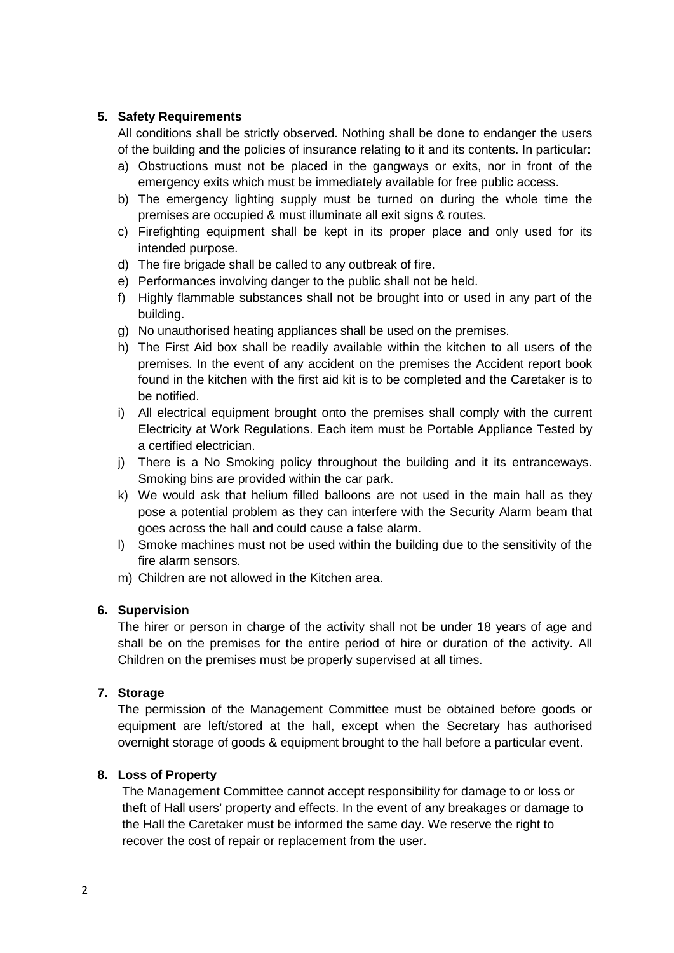## **5. Safety Requirements**

All conditions shall be strictly observed. Nothing shall be done to endanger the users of the building and the policies of insurance relating to it and its contents. In particular:

- a) Obstructions must not be placed in the gangways or exits, nor in front of the emergency exits which must be immediately available for free public access.
- b) The emergency lighting supply must be turned on during the whole time the premises are occupied & must illuminate all exit signs & routes.
- c) Firefighting equipment shall be kept in its proper place and only used for its intended purpose.
- d) The fire brigade shall be called to any outbreak of fire.
- e) Performances involving danger to the public shall not be held.
- f) Highly flammable substances shall not be brought into or used in any part of the building.
- g) No unauthorised heating appliances shall be used on the premises.
- h) The First Aid box shall be readily available within the kitchen to all users of the premises. In the event of any accident on the premises the Accident report book found in the kitchen with the first aid kit is to be completed and the Caretaker is to be notified.
- i) All electrical equipment brought onto the premises shall comply with the current Electricity at Work Regulations. Each item must be Portable Appliance Tested by a certified electrician.
- j) There is a No Smoking policy throughout the building and it its entranceways. Smoking bins are provided within the car park.
- k) We would ask that helium filled balloons are not used in the main hall as they pose a potential problem as they can interfere with the Security Alarm beam that goes across the hall and could cause a false alarm.
- l) Smoke machines must not be used within the building due to the sensitivity of the fire alarm sensors.
- m) Children are not allowed in the Kitchen area.

### **6. Supervision**

The hirer or person in charge of the activity shall not be under 18 years of age and shall be on the premises for the entire period of hire or duration of the activity. All Children on the premises must be properly supervised at all times.

## **7. Storage**

The permission of the Management Committee must be obtained before goods or equipment are left/stored at the hall, except when the Secretary has authorised overnight storage of goods & equipment brought to the hall before a particular event.

#### **8. Loss of Property**

The Management Committee cannot accept responsibility for damage to or loss or theft of Hall users' property and effects. In the event of any breakages or damage to the Hall the Caretaker must be informed the same day. We reserve the right to recover the cost of repair or replacement from the user.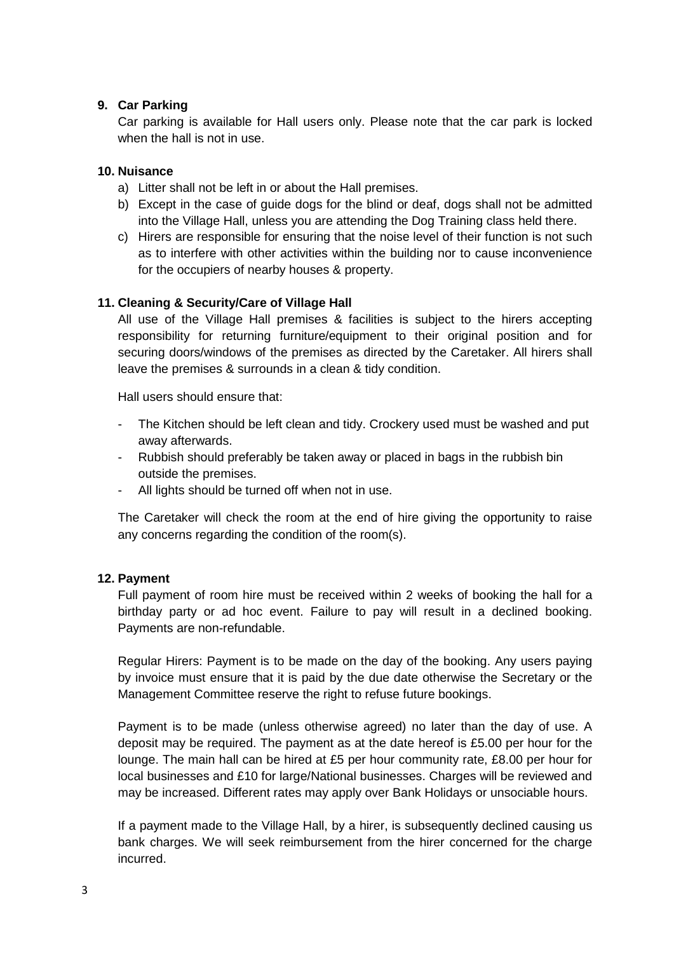## **9. Car Parking**

Car parking is available for Hall users only. Please note that the car park is locked when the hall is not in use.

#### **10. Nuisance**

- a) Litter shall not be left in or about the Hall premises.
- b) Except in the case of guide dogs for the blind or deaf, dogs shall not be admitted into the Village Hall, unless you are attending the Dog Training class held there.
- c) Hirers are responsible for ensuring that the noise level of their function is not such as to interfere with other activities within the building nor to cause inconvenience for the occupiers of nearby houses & property.

## **11. Cleaning & Security/Care of Village Hall**

All use of the Village Hall premises & facilities is subject to the hirers accepting responsibility for returning furniture/equipment to their original position and for securing doors/windows of the premises as directed by the Caretaker. All hirers shall leave the premises & surrounds in a clean & tidy condition.

Hall users should ensure that:

- The Kitchen should be left clean and tidy. Crockery used must be washed and put away afterwards.
- Rubbish should preferably be taken away or placed in bags in the rubbish bin outside the premises.
- All lights should be turned off when not in use.

The Caretaker will check the room at the end of hire giving the opportunity to raise any concerns regarding the condition of the room(s).

#### **12. Payment**

Full payment of room hire must be received within 2 weeks of booking the hall for a birthday party or ad hoc event. Failure to pay will result in a declined booking. Payments are non-refundable.

Regular Hirers: Payment is to be made on the day of the booking. Any users paying by invoice must ensure that it is paid by the due date otherwise the Secretary or the Management Committee reserve the right to refuse future bookings.

Payment is to be made (unless otherwise agreed) no later than the day of use. A deposit may be required. The payment as at the date hereof is £5.00 per hour for the lounge. The main hall can be hired at £5 per hour community rate, £8.00 per hour for local businesses and £10 for large/National businesses. Charges will be reviewed and may be increased. Different rates may apply over Bank Holidays or unsociable hours.

If a payment made to the Village Hall, by a hirer, is subsequently declined causing us bank charges. We will seek reimbursement from the hirer concerned for the charge incurred.